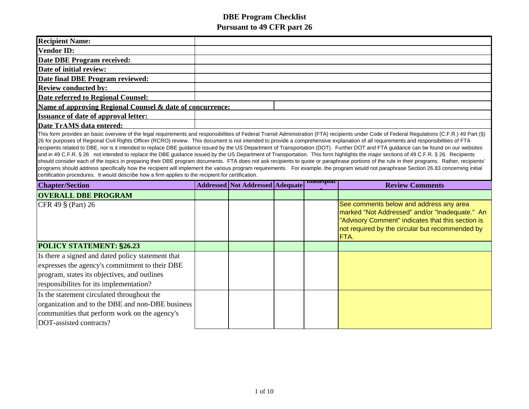| <b>Recipient Name:</b>                                                                                                                                                                                                                                                                                                                                                                                                                                                                                                                                                                                                                                                                                                                                                                                                                                                     |  |                                         |  |                 |                                                                                                                                                                                                           |  |  |
|----------------------------------------------------------------------------------------------------------------------------------------------------------------------------------------------------------------------------------------------------------------------------------------------------------------------------------------------------------------------------------------------------------------------------------------------------------------------------------------------------------------------------------------------------------------------------------------------------------------------------------------------------------------------------------------------------------------------------------------------------------------------------------------------------------------------------------------------------------------------------|--|-----------------------------------------|--|-----------------|-----------------------------------------------------------------------------------------------------------------------------------------------------------------------------------------------------------|--|--|
|                                                                                                                                                                                                                                                                                                                                                                                                                                                                                                                                                                                                                                                                                                                                                                                                                                                                            |  |                                         |  |                 |                                                                                                                                                                                                           |  |  |
| <b>Vendor ID:</b>                                                                                                                                                                                                                                                                                                                                                                                                                                                                                                                                                                                                                                                                                                                                                                                                                                                          |  |                                         |  |                 |                                                                                                                                                                                                           |  |  |
| <b>Date DBE Program received:</b>                                                                                                                                                                                                                                                                                                                                                                                                                                                                                                                                                                                                                                                                                                                                                                                                                                          |  |                                         |  |                 |                                                                                                                                                                                                           |  |  |
| Date of initial review:                                                                                                                                                                                                                                                                                                                                                                                                                                                                                                                                                                                                                                                                                                                                                                                                                                                    |  |                                         |  |                 |                                                                                                                                                                                                           |  |  |
| Date final DBE Program reviewed:                                                                                                                                                                                                                                                                                                                                                                                                                                                                                                                                                                                                                                                                                                                                                                                                                                           |  |                                         |  |                 |                                                                                                                                                                                                           |  |  |
| <b>Review conducted by:</b>                                                                                                                                                                                                                                                                                                                                                                                                                                                                                                                                                                                                                                                                                                                                                                                                                                                |  |                                         |  |                 |                                                                                                                                                                                                           |  |  |
| Date referred to Regional Counsel:                                                                                                                                                                                                                                                                                                                                                                                                                                                                                                                                                                                                                                                                                                                                                                                                                                         |  |                                         |  |                 |                                                                                                                                                                                                           |  |  |
| Name of approving Regional Counsel & date of concurrence:                                                                                                                                                                                                                                                                                                                                                                                                                                                                                                                                                                                                                                                                                                                                                                                                                  |  |                                         |  |                 |                                                                                                                                                                                                           |  |  |
| <b>Issuance of date of approval letter:</b>                                                                                                                                                                                                                                                                                                                                                                                                                                                                                                                                                                                                                                                                                                                                                                                                                                |  |                                         |  |                 |                                                                                                                                                                                                           |  |  |
| Date TrAMS data entered:                                                                                                                                                                                                                                                                                                                                                                                                                                                                                                                                                                                                                                                                                                                                                                                                                                                   |  |                                         |  |                 |                                                                                                                                                                                                           |  |  |
| recipients related to DBE, nor is it intended to replace DBE guidance issued by the US Department of Transportation (DOT). Further DOT and FTA guidance can be found on our websites<br>and in 49 C.F.R. § 26 not intended to replace the DBE guidance issued by the US Department of Transportation. This form highlights the major sections of 49 C.F.R. § 26. Recipients<br>should consider each of the topics in preparing their DBE program documents. FTA does not ask recipients to quote or paraphrase portions of the rule in their programs. Rather, recipients'<br>programs should address specifically how the recipient will implement the various program requirements. For example, the program would not paraphrase Section 26.83 concerning initial<br>certification procedures. It would describe how a firm applies to the recipient for certification. |  |                                         |  |                 |                                                                                                                                                                                                           |  |  |
|                                                                                                                                                                                                                                                                                                                                                                                                                                                                                                                                                                                                                                                                                                                                                                                                                                                                            |  |                                         |  |                 |                                                                                                                                                                                                           |  |  |
| <b>Chapter/Section</b>                                                                                                                                                                                                                                                                                                                                                                                                                                                                                                                                                                                                                                                                                                                                                                                                                                                     |  | <b>Addressed Not Addressed Adequate</b> |  | <b>mauequat</b> | <b>Review Comments</b>                                                                                                                                                                                    |  |  |
| <b>OVERALL DBE PROGRAM</b>                                                                                                                                                                                                                                                                                                                                                                                                                                                                                                                                                                                                                                                                                                                                                                                                                                                 |  |                                         |  |                 |                                                                                                                                                                                                           |  |  |
| CFR 49 § (Part) 26                                                                                                                                                                                                                                                                                                                                                                                                                                                                                                                                                                                                                                                                                                                                                                                                                                                         |  |                                         |  |                 | See comments below and address any area<br>marked "Not Addressed" and/or "Inadequate." An<br>"Advisory Comment" indicates that this section is<br>not required by the circular but recommended by<br>FTA. |  |  |
| POLICY STATEMENT: §26.23                                                                                                                                                                                                                                                                                                                                                                                                                                                                                                                                                                                                                                                                                                                                                                                                                                                   |  |                                         |  |                 |                                                                                                                                                                                                           |  |  |
| Is there a signed and dated policy statement that<br>expresses the agency's commitment to their DBE<br>program, states its objectives, and outlines<br>responsibilities for its implementation?                                                                                                                                                                                                                                                                                                                                                                                                                                                                                                                                                                                                                                                                            |  |                                         |  |                 |                                                                                                                                                                                                           |  |  |

communities that perform work on the agency's

DOT-assisted contracts?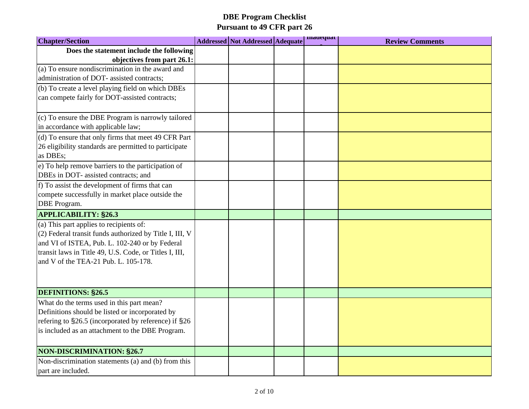| <b>Chapter/Section</b>                                  | <b>Addressed Not Addressed Adequate</b> | madequat | <b>Review Comments</b> |
|---------------------------------------------------------|-----------------------------------------|----------|------------------------|
| Does the statement include the following                |                                         |          |                        |
| objectives from part 26.1:                              |                                         |          |                        |
| (a) To ensure nondiscrimination in the award and        |                                         |          |                        |
| administration of DOT- assisted contracts;              |                                         |          |                        |
| (b) To create a level playing field on which DBEs       |                                         |          |                        |
| can compete fairly for DOT-assisted contracts;          |                                         |          |                        |
| (c) To ensure the DBE Program is narrowly tailored      |                                         |          |                        |
| in accordance with applicable law;                      |                                         |          |                        |
| (d) To ensure that only firms that meet 49 CFR Part     |                                         |          |                        |
| 26 eligibility standards are permitted to participate   |                                         |          |                        |
| as DBEs;                                                |                                         |          |                        |
| e) To help remove barriers to the participation of      |                                         |          |                        |
| DBEs in DOT- assisted contracts; and                    |                                         |          |                        |
| f) To assist the development of firms that can          |                                         |          |                        |
| compete successfully in market place outside the        |                                         |          |                        |
| <b>DBE</b> Program.                                     |                                         |          |                        |
| <b>APPLICABILITY: §26.3</b>                             |                                         |          |                        |
| (a) This part applies to recipients of:                 |                                         |          |                        |
| (2) Federal transit funds authorized by Title I, III, V |                                         |          |                        |
| and VI of ISTEA, Pub. L. 102-240 or by Federal          |                                         |          |                        |
| transit laws in Title 49, U.S. Code, or Titles I, III,  |                                         |          |                        |
| and V of the TEA-21 Pub. L. 105-178.                    |                                         |          |                        |
|                                                         |                                         |          |                        |
| <b>DEFINITIONS: §26.5</b>                               |                                         |          |                        |
| What do the terms used in this part mean?               |                                         |          |                        |
| Definitions should be listed or incorporated by         |                                         |          |                        |
| refering to §26.5 (incorporated by reference) if §26    |                                         |          |                        |
| is included as an attachment to the DBE Program.        |                                         |          |                        |
| <b>NON-DISCRIMINATION: §26.7</b>                        |                                         |          |                        |
| Non-discrimination statements (a) and (b) from this     |                                         |          |                        |
| part are included.                                      |                                         |          |                        |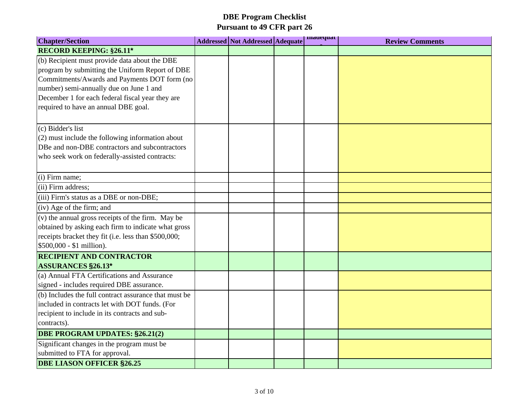| <b>Chapter/Section</b>                                | <b>Addressed Not Addressed Adequate</b> | madequat | <b>Review Comments</b> |
|-------------------------------------------------------|-----------------------------------------|----------|------------------------|
| <b>RECORD KEEPING: §26.11*</b>                        |                                         |          |                        |
| (b) Recipient must provide data about the DBE         |                                         |          |                        |
| program by submitting the Uniform Report of DBE       |                                         |          |                        |
| Commitments/Awards and Payments DOT form (no          |                                         |          |                        |
| number) semi-annually due on June 1 and               |                                         |          |                        |
| December 1 for each federal fiscal year they are      |                                         |          |                        |
| required to have an annual DBE goal.                  |                                         |          |                        |
| $(c)$ Bidder's list                                   |                                         |          |                        |
| (2) must include the following information about      |                                         |          |                        |
| DBe and non-DBE contractors and subcontractors        |                                         |          |                        |
| who seek work on federally-assisted contracts:        |                                         |          |                        |
| (i) Firm name;                                        |                                         |          |                        |
| (ii) Firm address;                                    |                                         |          |                        |
| (iii) Firm's status as a DBE or non-DBE;              |                                         |          |                        |
| $(iv)$ Age of the firm; and                           |                                         |          |                        |
| (v) the annual gross receipts of the firm. May be     |                                         |          |                        |
| obtained by asking each firm to indicate what gross   |                                         |          |                        |
| receipts bracket they fit (i.e. less than \$500,000;  |                                         |          |                        |
| \$500,000 - \$1 million).                             |                                         |          |                        |
| <b>RECIPIENT AND CONTRACTOR</b>                       |                                         |          |                        |
| <b>ASSURANCES §26.13*</b>                             |                                         |          |                        |
| (a) Annual FTA Certifications and Assurance           |                                         |          |                        |
| signed - includes required DBE assurance.             |                                         |          |                        |
| (b) Includes the full contract assurance that must be |                                         |          |                        |
| included in contracts let with DOT funds. (For        |                                         |          |                        |
| recipient to include in its contracts and sub-        |                                         |          |                        |
| contracts).                                           |                                         |          |                        |
| <b>DBE PROGRAM UPDATES: §26.21(2)</b>                 |                                         |          |                        |
| Significant changes in the program must be            |                                         |          |                        |
| submitted to FTA for approval.                        |                                         |          |                        |
| <b>DBE LIASON OFFICER §26.25</b>                      |                                         |          |                        |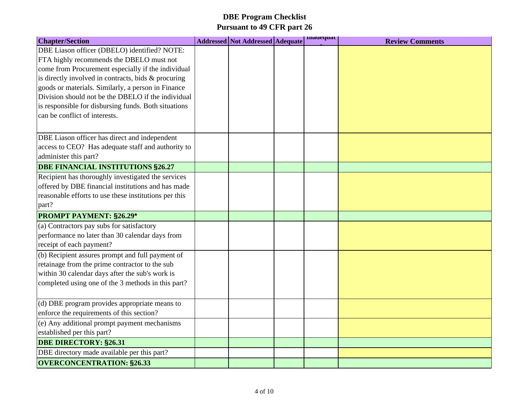| <b>Chapter/Section</b>                                | <b>Addressed Not Addressed Adequate</b> | madequat | <b>Review Comments</b> |
|-------------------------------------------------------|-----------------------------------------|----------|------------------------|
| DBE Liason officer (DBELO) identified? NOTE:          |                                         |          |                        |
| FTA highly recommends the DBELO must not              |                                         |          |                        |
| come from Procurement especially if the individual    |                                         |          |                        |
| is directly involved in contracts, bids & procuring   |                                         |          |                        |
| goods or materials. Similarly, a person in Finance    |                                         |          |                        |
| Division should not be the DBELO if the individual    |                                         |          |                        |
| is responsible for disbursing funds. Both situations  |                                         |          |                        |
| can be conflict of interests.                         |                                         |          |                        |
|                                                       |                                         |          |                        |
| DBE Liason officer has direct and independent         |                                         |          |                        |
| access to CEO? Has adequate staff and authority to    |                                         |          |                        |
| administer this part?                                 |                                         |          |                        |
| DBE FINANCIAL INSTITUTIONS §26.27                     |                                         |          |                        |
| Recipient has thoroughly investigated the services    |                                         |          |                        |
| offered by DBE financial institutions and has made    |                                         |          |                        |
| reasonable efforts to use these institutions per this |                                         |          |                        |
| part?                                                 |                                         |          |                        |
| <b>PROMPT PAYMENT: §26.29*</b>                        |                                         |          |                        |
| (a) Contractors pay subs for satisfactory             |                                         |          |                        |
| performance no later than 30 calendar days from       |                                         |          |                        |
| receipt of each payment?                              |                                         |          |                        |
| (b) Recipient assures prompt and full payment of      |                                         |          |                        |
| retainage from the prime contractor to the sub        |                                         |          |                        |
| within 30 calendar days after the sub's work is       |                                         |          |                        |
| completed using one of the 3 methods in this part?    |                                         |          |                        |
| (d) DBE program provides appropriate means to         |                                         |          |                        |
| enforce the requirements of this section?             |                                         |          |                        |
| (e) Any additional prompt payment mechanisms          |                                         |          |                        |
| established per this part?                            |                                         |          |                        |
| <b>DBE DIRECTORY: §26.31</b>                          |                                         |          |                        |
| DBE directory made available per this part?           |                                         |          |                        |
| <b>OVERCONCENTRATION: §26.33</b>                      |                                         |          |                        |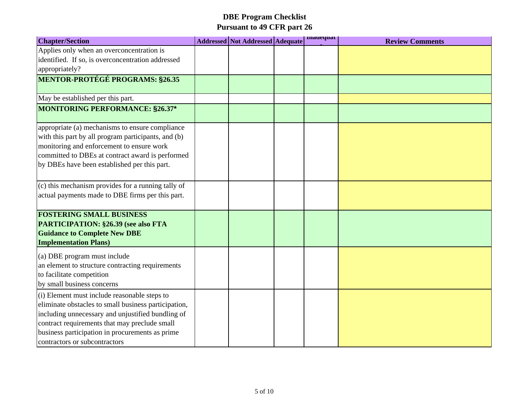| <b>Chapter/Section</b>                                                                                                                                                                                                                                                                         | <b>Addressed Not Addressed Adequate</b> | madequat | <b>Review Comments</b> |
|------------------------------------------------------------------------------------------------------------------------------------------------------------------------------------------------------------------------------------------------------------------------------------------------|-----------------------------------------|----------|------------------------|
| Applies only when an overconcentration is<br>identified. If so, is overconcentration addressed<br>appropriately?                                                                                                                                                                               |                                         |          |                        |
| <b>MENTOR-PROTÉGÉ PROGRAMS: §26.35</b>                                                                                                                                                                                                                                                         |                                         |          |                        |
| May be established per this part.                                                                                                                                                                                                                                                              |                                         |          |                        |
| MONITORING PERFORMANCE: §26.37*                                                                                                                                                                                                                                                                |                                         |          |                        |
| appropriate (a) mechanisms to ensure compliance<br>with this part by all program participants, and (b)<br>monitoring and enforcement to ensure work<br>committed to DBEs at contract award is performed<br>by DBEs have been established per this part.                                        |                                         |          |                        |
| (c) this mechanism provides for a running tally of<br>actual payments made to DBE firms per this part.                                                                                                                                                                                         |                                         |          |                        |
| <b>FOSTERING SMALL BUSINESS</b><br><b>PARTICIPATION: §26.39 (see also FTA</b><br><b>Guidance to Complete New DBE</b><br><b>Implementation Plans)</b>                                                                                                                                           |                                         |          |                        |
| (a) DBE program must include<br>an element to structure contracting requirements<br>to facilitate competition<br>by small business concerns                                                                                                                                                    |                                         |          |                        |
| (i) Element must include reasonable steps to<br>eliminate obstacles to small business participation,<br>including unnecessary and unjustified bundling of<br>contract requirements that may preclude small<br>business participation in procurements as prime<br>contractors or subcontractors |                                         |          |                        |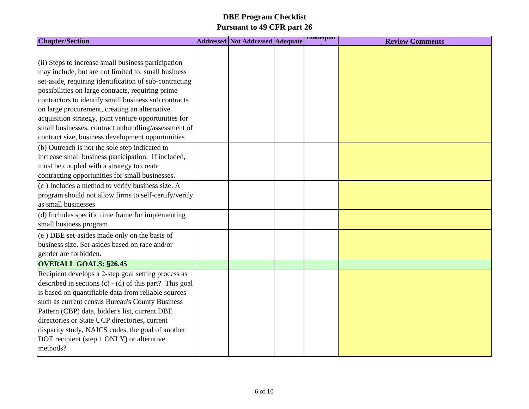| <b>Chapter/Section</b>                                    | <b>Addressed Not Addressed Adequate</b> | madequat | <b>Review Comments</b> |
|-----------------------------------------------------------|-----------------------------------------|----------|------------------------|
|                                                           |                                         |          |                        |
| (ii) Steps to increase small business participation       |                                         |          |                        |
| may include, but are not limited to: small business       |                                         |          |                        |
| set-aside, requiring identification of sub-contracting    |                                         |          |                        |
| possibilities on large contracts, requiring prime         |                                         |          |                        |
| contractors to identify small business sub contracts      |                                         |          |                        |
| on large procurement, creating an alternative             |                                         |          |                        |
| acquisition strategy, joint venture opportunities for     |                                         |          |                        |
| small businesses, contract unbundling/assessment of       |                                         |          |                        |
| contract size, business development opportunities         |                                         |          |                        |
| (b) Outreach is not the sole step indicated to            |                                         |          |                        |
| increase small business participation. If included,       |                                         |          |                        |
| must be coupled with a strategy to create                 |                                         |          |                        |
| contracting opportunities for small businesses.           |                                         |          |                        |
| (c) Includes a method to verify business size. A          |                                         |          |                        |
| program should not allow firms to self-certify/verify     |                                         |          |                        |
| as small businesses                                       |                                         |          |                        |
| (d) Includes specific time frame for implementing         |                                         |          |                        |
| small business program                                    |                                         |          |                        |
| $(e)$ DBE set-asides made only on the basis of            |                                         |          |                        |
| business size. Set-asides based on race and/or            |                                         |          |                        |
| gender are forbidden.                                     |                                         |          |                        |
| <b>OVERALL GOALS: §26.45</b>                              |                                         |          |                        |
| Recipient develops a 2-step goal setting process as       |                                         |          |                        |
| described in sections $(c) - (d)$ of this part? This goal |                                         |          |                        |
| is based on quantifiable data from reliable sources       |                                         |          |                        |
| such as current census Bureau's County Business           |                                         |          |                        |
| Pattern (CBP) data, bidder's list, current DBE            |                                         |          |                        |
| directories or State UCP directories, current             |                                         |          |                        |
| disparity study, NAICS codes, the goal of another         |                                         |          |                        |
| DOT recipient (step 1 ONLY) or alterntive                 |                                         |          |                        |
| methods?                                                  |                                         |          |                        |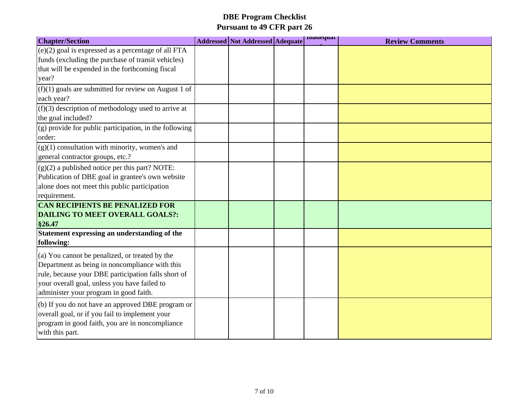| <b>Chapter/Section</b>                                                                                                                                                                                                                            | <b>Addressed Not Addressed Adequate</b> | madequat | <b>Review Comments</b> |
|---------------------------------------------------------------------------------------------------------------------------------------------------------------------------------------------------------------------------------------------------|-----------------------------------------|----------|------------------------|
| $(e)(2)$ goal is expressed as a percentage of all FTA<br>funds (excluding the purchase of transit vehicles)<br>that will be expended in the forthcoming fiscal<br>year?                                                                           |                                         |          |                        |
| $(f)(1)$ goals are submitted for review on August 1 of<br>each year?                                                                                                                                                                              |                                         |          |                        |
| $(f)(3)$ description of methodology used to arrive at<br>the goal included?                                                                                                                                                                       |                                         |          |                        |
| $(g)$ provide for public participation, in the following<br>order:                                                                                                                                                                                |                                         |          |                        |
| $(g)(1)$ consultation with minority, women's and<br>general contractor groups, etc.?                                                                                                                                                              |                                         |          |                        |
| $(g)(2)$ a published notice per this part? NOTE:<br>Publication of DBE goal in grantee's own website<br>alone does not meet this public participation<br>requirement.                                                                             |                                         |          |                        |
| <b>CAN RECIPIENTS BE PENALIZED FOR</b><br><b>DAILING TO MEET OVERALL GOALS?:</b><br>§26.47                                                                                                                                                        |                                         |          |                        |
| Statement expressing an understanding of the<br>following:                                                                                                                                                                                        |                                         |          |                        |
| (a) You cannot be penalized, or treated by the<br>Department as being in noncompliance with this<br>rule, because your DBE participation falls short of<br>your overall goal, unless you have failed to<br>administer your program in good faith. |                                         |          |                        |
| (b) If you do not have an approved DBE program or<br>overall goal, or if you fail to implement your<br>program in good faith, you are in noncompliance<br>with this part.                                                                         |                                         |          |                        |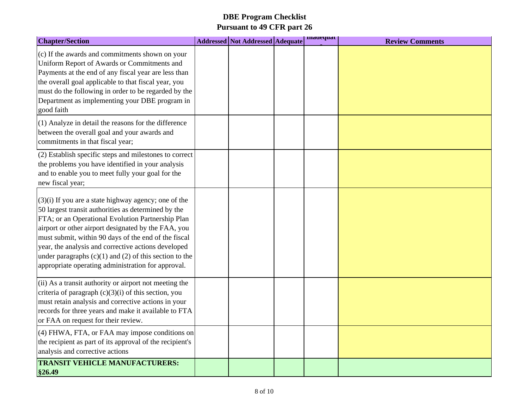| <b>Chapter/Section</b>                                                                                                                                                                                                                                                                                                                                                                                                                                       | <b>Addressed Not Addressed Adequate</b> | madequat | <b>Review Comments</b> |
|--------------------------------------------------------------------------------------------------------------------------------------------------------------------------------------------------------------------------------------------------------------------------------------------------------------------------------------------------------------------------------------------------------------------------------------------------------------|-----------------------------------------|----------|------------------------|
| (c) If the awards and commitments shown on your<br>Uniform Report of Awards or Commitments and<br>Payments at the end of any fiscal year are less than<br>the overall goal applicable to that fiscal year, you<br>must do the following in order to be regarded by the<br>Department as implementing your DBE program in<br>good faith                                                                                                                       |                                         |          |                        |
| (1) Analyze in detail the reasons for the difference<br>between the overall goal and your awards and<br>commitments in that fiscal year;                                                                                                                                                                                                                                                                                                                     |                                         |          |                        |
| (2) Establish specific steps and milestones to correct<br>the problems you have identified in your analysis<br>and to enable you to meet fully your goal for the<br>new fiscal year;                                                                                                                                                                                                                                                                         |                                         |          |                        |
| $(3)(i)$ If you are a state highway agency; one of the<br>50 largest transit authorities as determined by the<br>FTA; or an Operational Evolution Partnership Plan<br>airport or other airport designated by the FAA, you<br>must submit, within 90 days of the end of the fiscal<br>year, the analysis and corrective actions developed<br>under paragraphs $(c)(1)$ and $(2)$ of this section to the<br>appropriate operating administration for approval. |                                         |          |                        |
| (ii) As a transit authority or airport not meeting the<br>criteria of paragraph $(c)(3)(i)$ of this section, you<br>must retain analysis and corrective actions in your<br>records for three years and make it available to FTA<br>or FAA on request for their review.                                                                                                                                                                                       |                                         |          |                        |
| (4) FHWA, FTA, or FAA may impose conditions on<br>the recipient as part of its approval of the recipient's<br>analysis and corrective actions                                                                                                                                                                                                                                                                                                                |                                         |          |                        |
| <b>TRANSIT VEHICLE MANUFACTURERS:</b><br>§26.49                                                                                                                                                                                                                                                                                                                                                                                                              |                                         |          |                        |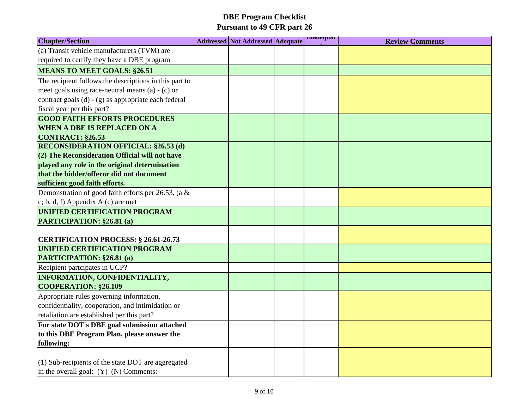| <b>Chapter/Section</b>                                                              | <b>Addressed Not Addressed Adequate</b> | madequat | <b>Review Comments</b> |
|-------------------------------------------------------------------------------------|-----------------------------------------|----------|------------------------|
| (a) Transit vehicle manufacturers (TVM) are                                         |                                         |          |                        |
| required to certify they have a DBE program                                         |                                         |          |                        |
| <b>MEANS TO MEET GOALS: §26.51</b>                                                  |                                         |          |                        |
| The recipient follows the descriptions in this part to                              |                                         |          |                        |
| meet goals using race-neutral means $(a) - (c)$ or                                  |                                         |          |                        |
| contract goals (d) - (g) as appropriate each federal                                |                                         |          |                        |
| fiscal year per this part?                                                          |                                         |          |                        |
| <b>GOOD FAITH EFFORTS PROCEDURES</b>                                                |                                         |          |                        |
| <b>WHEN A DBE IS REPLACED ON A</b>                                                  |                                         |          |                        |
| <b>CONTRACT: §26.53</b>                                                             |                                         |          |                        |
| <b>RECONSIDERATION OFFICIAL: §26.53 (d)</b>                                         |                                         |          |                        |
| $(2)$ The Reconsideration Official will not have                                    |                                         |          |                        |
| played any role in the original determination                                       |                                         |          |                        |
| that the bidder/offeror did not document                                            |                                         |          |                        |
| sufficient good faith efforts.                                                      |                                         |          |                        |
| Demonstration of good faith efforts per 26.53, (a $\&$                              |                                         |          |                        |
| $\vert$ c; b, d, f) Appendix A (c) are met                                          |                                         |          |                        |
| UNIFIED CERTIFICATION PROGRAM                                                       |                                         |          |                        |
| PARTICIPATION: §26.81 (a)                                                           |                                         |          |                        |
|                                                                                     |                                         |          |                        |
| <b>CERTIFICATION PROCESS: § 26.61-26.73</b><br><b>UNIFIED CERTIFICATION PROGRAM</b> |                                         |          |                        |
| <b>PARTICIPATION: §26.81 (a)</b>                                                    |                                         |          |                        |
| Recipient partcipates in UCP?                                                       |                                         |          |                        |
| <b>INFORMATION, CONFIDENTIALITY,</b>                                                |                                         |          |                        |
| <b>COOPERATION: \$26.109</b>                                                        |                                         |          |                        |
| Appropriate rules governing information,                                            |                                         |          |                        |
| confidentiality, cooperation, and intimidation or                                   |                                         |          |                        |
| retaliation are established per this part?                                          |                                         |          |                        |
| For state DOT's DBE goal submission attached                                        |                                         |          |                        |
| to this DBE Program Plan, please answer the                                         |                                         |          |                        |
| following:                                                                          |                                         |          |                        |
|                                                                                     |                                         |          |                        |
| $(1)$ Sub-recipients of the state DOT are aggregated                                |                                         |          |                        |
| in the overall goal: $(Y)$ $(N)$ Comments:                                          |                                         |          |                        |